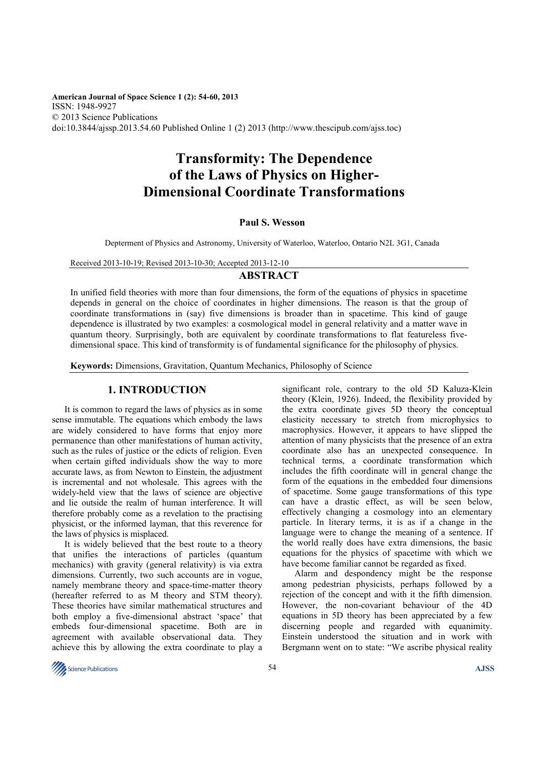**American Journal of Space Science 1 (2): 54-60, 2013**  ISSN: 1948-9927 © 2013 Science Publications doi:10.3844/ajssp.2013.54.60 Published Online 1 (2) 2013 (http://www.thescipub.com/ajss.toc)

# **Transformity: The Dependence of the Laws of Physics on Higher-Dimensional Coordinate Transformations**

#### **Paul S. Wesson**

Depterment of Physics and Astronomy, University of Waterloo, Waterloo, Ontario N2L 3G1, Canada

Received 2013-10-19; Revised 2013-10-30; Accepted 2013-12-10

## **ABSTRACT**

In unified field theories with more than four dimensions, the form of the equations of physics in spacetime depends in general on the choice of coordinates in higher dimensions. The reason is that the group of coordinate transformations in (say) five dimensions is broader than in spacetime. This kind of gauge dependence is illustrated by two examples: a cosmological model in general relativity and a matter wave in quantum theory. Surprisingly, both are equivalent by coordinate transformations to flat featureless fivedimensional space. This kind of transformity is of fundamental significance for the philosophy of physics.

**Keywords:** Dimensions, Gravitation, Quantum Mechanics, Philosophy of Science

## **1. INTRODUCTION**

It is common to regard the laws of physics as in some sense immutable. The equations which embody the laws are widely considered to have forms that enjoy more permanence than other manifestations of human activity, such as the rules of justice or the edicts of religion. Even when certain gifted individuals show the way to more accurate laws, as from Newton to Einstein, the adjustment is incremental and not wholesale. This agrees with the widely-held view that the laws of science are objective and lie outside the realm of human interference. It will therefore probably come as a revelation to the practising physicist, or the informed layman, that this reverence for the laws of physics is misplaced.

It is widely believed that the best route to a theory that unifies the interactions of particles (quantum mechanics) with gravity (general relativity) is via extra dimensions. Currently, two such accounts are in vogue, namely membrane theory and space-time-matter theory (hereafter referred to as M theory and STM theory). These theories have similar mathematical structures and both employ a five-dimensional abstract 'space' that embeds four-dimensional spacetime. Both are in agreement with available observational data. They achieve this by allowing the extra coordinate to play a significant role, contrary to the old 5D Kaluza-Klein theory (Klein, 1926). Indeed, the flexibility provided by the extra coordinate gives 5D theory the conceptual elasticity necessary to stretch from microphysics to macrophysics. However, it appears to have slipped the attention of many physicists that the presence of an extra coordinate also has an unexpected consequence. In technical terms, a coordinate transformation which includes the fifth coordinate will in general change the form of the equations in the embedded four dimensions of spacetime. Some gauge transformations of this type can have a drastic effect, as will be seen below, effectively changing a cosmology into an elementary particle. In literary terms, it is as if a change in the language were to change the meaning of a sentence. If the world really does have extra dimensions, the basic equations for the physics of spacetime with which we have become familiar cannot be regarded as fixed.

Alarm and despondency might be the response among pedestrian physicists, perhaps followed by a rejection of the concept and with it the fifth dimension. However, the non-covariant behaviour of the 4D equations in 5D theory has been appreciated by a few discerning people and regarded with equanimity. Einstein understood the situation and in work with Bergmann went on to state: "We ascribe physical reality

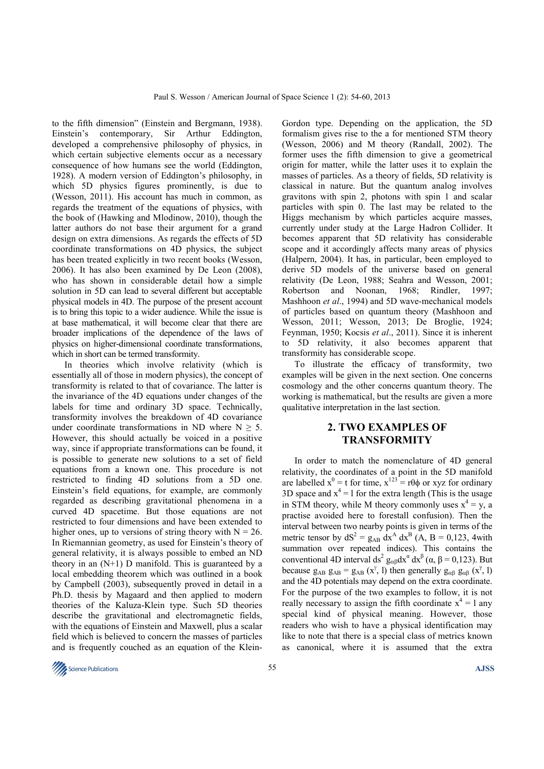to the fifth dimension" (Einstein and Bergmann, 1938). Einstein's contemporary, Sir Arthur Eddington, developed a comprehensive philosophy of physics, in which certain subjective elements occur as a necessary consequence of how humans see the world (Eddington, 1928). A modern version of Eddington's philosophy, in which 5D physics figures prominently, is due to (Wesson, 2011). His account has much in common, as regards the treatment of the equations of physics, with the book of (Hawking and Mlodinow, 2010), though the latter authors do not base their argument for a grand design on extra dimensions. As regards the effects of 5D coordinate transformations on 4D physics, the subject has been treated explicitly in two recent books (Wesson, 2006). It has also been examined by De Leon (2008), who has shown in considerable detail how a simple solution in 5D can lead to several different but acceptable physical models in 4D. The purpose of the present account is to bring this topic to a wider audience. While the issue is at base mathematical, it will become clear that there are broader implications of the dependence of the laws of physics on higher-dimensional coordinate transformations, which in short can be termed transformity.

In theories which involve relativity (which is essentially all of those in modern physics), the concept of transformity is related to that of covariance. The latter is the invariance of the 4D equations under changes of the labels for time and ordinary 3D space. Technically, transformity involves the breakdown of 4D covariance under coordinate transformations in ND where  $N \geq 5$ . However, this should actually be voiced in a positive way, since if appropriate transformations can be found, it is possible to generate new solutions to a set of field equations from a known one. This procedure is not restricted to finding 4D solutions from a 5D one. Einstein's field equations, for example, are commonly regarded as describing gravitational phenomena in a curved 4D spacetime. But those equations are not restricted to four dimensions and have been extended to higher ones, up to versions of string theory with  $N = 26$ . In Riemannian geometry, as used for Einstein's theory of general relativity, it is always possible to embed an ND theory in an  $(N+1)$  D manifold. This is guaranteed by a local embedding theorem which was outlined in a book by Campbell (2003), subsequently proved in detail in a Ph.D. thesis by Magaard and then applied to modern theories of the Kaluza-Klein type. Such 5D theories describe the gravitational and electromagnetic fields, with the equations of Einstein and Maxwell, plus a scalar field which is believed to concern the masses of particles and is frequently couched as an equation of the KleinGordon type. Depending on the application, the 5D formalism gives rise to the a for mentioned STM theory (Wesson, 2006) and M theory (Randall, 2002). The former uses the fifth dimension to give a geometrical origin for matter, while the latter uses it to explain the masses of particles. As a theory of fields, 5D relativity is classical in nature. But the quantum analog involves gravitons with spin 2, photons with spin 1 and scalar particles with spin 0. The last may be related to the Higgs mechanism by which particles acquire masses, currently under study at the Large Hadron Collider. It becomes apparent that 5D relativity has considerable scope and it accordingly affects many areas of physics (Halpern, 2004). It has, in particular, been employed to derive 5D models of the universe based on general relativity (De Leon, 1988; Seahra and Wesson, 2001; Robertson and Noonan, 1968; Rindler, 1997; Mashhoon *et al*., 1994) and 5D wave-mechanical models of particles based on quantum theory (Mashhoon and Wesson, 2011; Wesson, 2013; De Broglie, 1924; Feynman, 1950; Kocsis *et al*., 2011). Since it is inherent to 5D relativity, it also becomes apparent that transformity has considerable scope.

To illustrate the efficacy of transformity, two examples will be given in the next section. One concerns cosmology and the other concerns quantum theory. The working is mathematical, but the results are given a more qualitative interpretation in the last section.

## **2. TWO EXAMPLES OF TRANSFORMITY**

In order to match the nomenclature of 4D general relativity, the coordinates of a point in the 5D manifold are labelled  $x^0 = t$  for time,  $x^{123} = r\theta\phi$  or xyz for ordinary 3D space and  $x^4 = 1$  for the extra length (This is the usage in STM theory, while M theory commonly uses  $x^4 = y$ , a practise avoided here to forestall confusion). Then the interval between two nearby points is given in terms of the metric tensor by  $dS^2 = g_{AB} dx^A dx^B$  (A, B = 0,123, 4with summation over repeated indices). This contains the conventional 4D interval ds<sup>2</sup>  $g_{\alpha\beta}dx^{\alpha} dx^{\beta}$  ( $\alpha$ ,  $\beta$  = 0,123). But because  $g_{AB} g_{AB} = g_{AB} (x^{\gamma}, l)$  then generally  $g_{\alpha\beta} g_{\alpha\beta} (x^{\gamma}, l)$ and the 4D potentials may depend on the extra coordinate. For the purpose of the two examples to follow, it is not really necessary to assign the fifth coordinate  $x^4 = 1$  any special kind of physical meaning. However, those readers who wish to have a physical identification may like to note that there is a special class of metrics known as canonical, where it is assumed that the extra

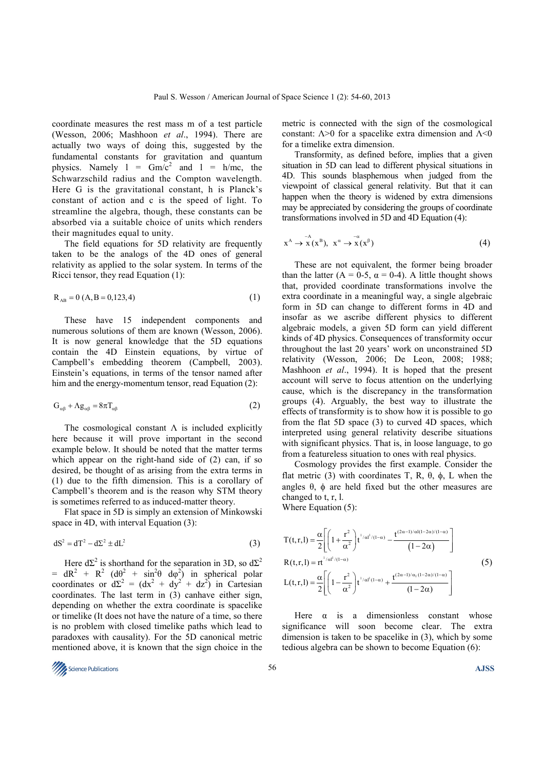coordinate measures the rest mass m of a test particle (Wesson, 2006; Mashhoon *et al*., 1994). There are actually two ways of doing this, suggested by the fundamental constants for gravitation and quantum physics. Namely  $1 = Gm/c^2$  and  $1 = h/mc$ , the Schwarzschild radius and the Compton wavelength. Here G is the gravitational constant, h is Planck's constant of action and c is the speed of light. To streamline the algebra, though, these constants can be absorbed via a suitable choice of units which renders their magnitudes equal to unity.

The field equations for 5D relativity are frequently taken to be the analogs of the 4D ones of general relativity as applied to the solar system. In terms of the Ricci tensor, they read Equation (1):

$$
R_{AB} = 0 (A, B = 0, 123, 4)
$$
 (1)

These have 15 independent components and numerous solutions of them are known (Wesson, 2006). It is now general knowledge that the 5D equations contain the 4D Einstein equations, by virtue of Campbell's embedding theorem (Campbell, 2003). Einstein's equations, in terms of the tensor named after him and the energy-momentum tensor, read Equation (2):

$$
G_{\alpha\beta} + \Lambda g_{\alpha\beta} = 8\pi T_{\alpha\beta} \tag{2}
$$

The cosmological constant  $\Lambda$  is included explicitly here because it will prove important in the second example below. It should be noted that the matter terms which appear on the right-hand side of (2) can, if so desired, be thought of as arising from the extra terms in (1) due to the fifth dimension. This is a corollary of Campbell's theorem and is the reason why STM theory is sometimes referred to as induced-matter theory.

Flat space in 5D is simply an extension of Minkowski space in 4D, with interval Equation (3):

$$
dS^2 = dT^2 - d\Sigma^2 \pm dL^2
$$
 (3)

Here  $d\Sigma^2$  is shorthand for the separation in 3D, so  $d\Sigma^2$ =  $dR^2$  +  $R^2$   $(d\theta^2$  +  $sin^2\theta$   $d\phi^2)$  in spherical polar coordinates or  $d\Sigma^2 = (dx^2 + dy^2 + dz^2)$  in Cartesian coordinates. The last term in (3) canhave either sign, depending on whether the extra coordinate is spacelike or timelike (It does not have the nature of a time, so there is no problem with closed timelike paths which lead to paradoxes with causality). For the 5D canonical metric mentioned above, it is known that the sign choice in the

metric is connected with the sign of the cosmological constant:  $\Lambda$  > 0 for a spacelike extra dimension and  $\Lambda$  < 0 for a timelike extra dimension.

Transformity, as defined before, implies that a given situation in 5D can lead to different physical situations in 4D. This sounds blasphemous when judged from the viewpoint of classical general relativity. But that it can happen when the theory is widened by extra dimensions may be appreciated by considering the groups of coordinate transformations involved in 5D and 4D Equation (4):

$$
x^{A} \to x^{A}(x^{B}), x^{a} \to x^{a}(x^{B})
$$
\n
$$
(4)
$$

These are not equivalent, the former being broader than the latter (A = 0-5,  $\alpha$  = 0-4). A little thought shows that, provided coordinate transformations involve the extra coordinate in a meaningful way, a single algebraic form in 5D can change to different forms in 4D and insofar as we ascribe different physics to different algebraic models, a given 5D form can yield different kinds of 4D physics. Consequences of transformity occur throughout the last 20 years' work on unconstrained 5D relativity (Wesson, 2006; De Leon, 2008; 1988; Mashhoon *et al*., 1994). It is hoped that the present account will serve to focus attention on the underlying cause, which is the discrepancy in the transformation groups (4). Arguably, the best way to illustrate the effects of transformity is to show how it is possible to go from the flat 5D space (3) to curved 4D spaces, which interpreted using general relativity describe situations with significant physics. That is, in loose language, to go from a featureless situation to ones with real physics.

Cosmology provides the first example. Consider the flat metric (3) with coordinates T, R,  $θ$ ,  $φ$ , L when the angles  $\theta$ ,  $\phi$  are held fixed but the other measures are changed to t, r, l.

Where Equation (5):

$$
T(t,r,l) = \frac{\alpha}{2} \left[ \left( 1 + \frac{r^2}{\alpha^2} \right) t^{1/\alpha l^3/(1-\alpha)} - \frac{t^{(2\alpha-1)/\alpha l(1-2\alpha)/(1-\alpha)}}{(1-2\alpha)} \right]
$$
  
\n
$$
R(t,r,l) = rt^{1/\alpha l^3/(1-\alpha)}
$$
  
\n
$$
L(t,r,l) = \frac{\alpha}{2} \left[ \left( 1 - \frac{r^2}{\alpha^2} \right) t^{1/\alpha l^3(1-\alpha)} + \frac{t^{(2\alpha-1)/\alpha_l(1-2\alpha)/(1-\alpha)}}{(1-2\alpha)} \right]
$$
\n(5)

Here  $\alpha$  is a dimensionless constant whose significance will soon become clear. The extra dimension is taken to be spacelike in (3), which by some tedious algebra can be shown to become Equation (6):

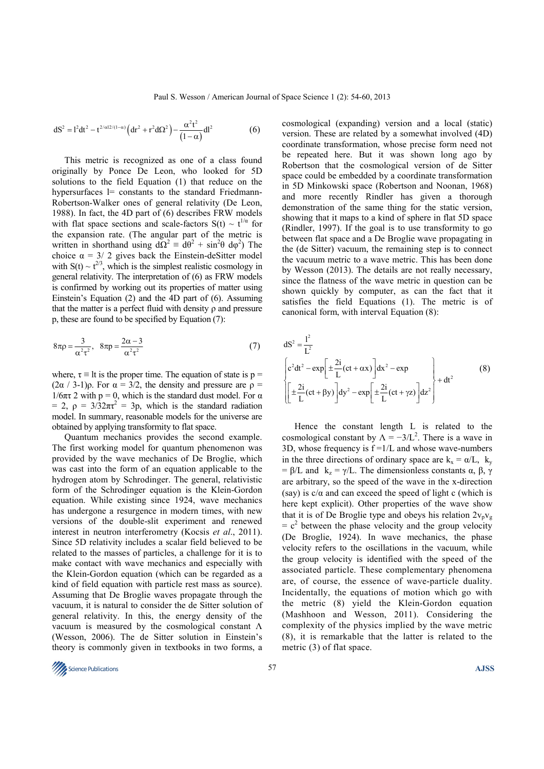$$
dS^{2} = l^{2}dt^{2} - t^{2/\alpha l 2/(1-\alpha)} \left( dr^{2} + r^{2} d\Omega^{2} \right) - \frac{\alpha^{2} t^{2}}{(1-\alpha)} dl^{2}
$$
 (6)

This metric is recognized as one of a class found originally by Ponce De Leon, who looked for 5D solutions to the field Equation (1) that reduce on the hypersurfaces  $l$ = constants to the standard Friedmann-Robertson-Walker ones of general relativity (De Leon, 1988). In fact, the 4D part of (6) describes FRW models with flat space sections and scale-factors  $S(t) \sim t^{1/\alpha}$  for the expansion rate. (The angular part of the metric is written in shorthand using  $d\Omega^2 = d\theta^2 + \sin^2\theta \ d\varphi^2$ ) The choice  $\alpha = 3/2$  gives back the Einstein-deSitter model with  $S(t) \sim t^{2/3}$ , which is the simplest realistic cosmology in general relativity. The interpretation of (6) as FRW models is confirmed by working out its properties of matter using Einstein's Equation (2) and the 4D part of (6). Assuming that the matter is a perfect fluid with density ρ and pressure p, these are found to be specified by Equation (7):

$$
8\pi \rho = \frac{3}{\alpha^2 \tau^2}, \quad 8\pi \rho = \frac{2\alpha - 3}{\alpha^2 \tau^2} \tag{7}
$$

where,  $\tau \equiv$  lt is the proper time. The equation of state is p =  $(2\alpha / 3-1)\rho$ . For  $\alpha = 3/2$ , the density and pressure are  $\rho =$  $1/6\pi\tau$  2 with p = 0, which is the standard dust model. For  $\alpha$ = 2,  $\rho = 3/32\pi\tau^2 = 3p$ , which is the standard radiation model. In summary, reasonable models for the universe are obtained by applying transformity to flat space.

Quantum mechanics provides the second example. The first working model for quantum phenomenon was provided by the wave mechanics of De Broglie, which was cast into the form of an equation applicable to the hydrogen atom by Schrodinger. The general, relativistic form of the Schrodinger equation is the Klein-Gordon equation. While existing since 1924, wave mechanics has undergone a resurgence in modern times, with new versions of the double-slit experiment and renewed interest in neutron interferometry (Kocsis *et al*., 2011). Since 5D relativity includes a scalar field believed to be related to the masses of particles, a challenge for it is to make contact with wave mechanics and especially with the Klein-Gordon equation (which can be regarded as a kind of field equation with particle rest mass as source). Assuming that De Broglie waves propagate through the vacuum, it is natural to consider the de Sitter solution of general relativity. In this, the energy density of the vacuum is measured by the cosmological constant  $\Lambda$ (Wesson, 2006). The de Sitter solution in Einstein's theory is commonly given in textbooks in two forms, a

cosmological (expanding) version and a local (static) version. These are related by a somewhat involved (4D) coordinate transformation, whose precise form need not be repeated here. But it was shown long ago by Robertson that the cosmological version of de Sitter space could be embedded by a coordinate transformation in 5D Minkowski space (Robertson and Noonan, 1968) and more recently Rindler has given a thorough demonstration of the same thing for the static version, showing that it maps to a kind of sphere in flat 5D space (Rindler, 1997). If the goal is to use transformity to go between flat space and a De Broglie wave propagating in the (de Sitter) vacuum, the remaining step is to connect the vacuum metric to a wave metric. This has been done by Wesson (2013). The details are not really necessary, since the flatness of the wave metric in question can be shown quickly by computer, as can the fact that it satisfies the field Equations (1). The metric is of canonical form, with interval Equation (8):

$$
dS^{2} = \frac{l^{2}}{L^{2}}
$$
\n
$$
\left[ c^{2}dt^{2} - \exp\left[\pm \frac{2i}{L}(ct + \alpha x)\right]dx^{2} - \exp\left[\pm \frac{2i}{L}(ct + \gamma z)\right] + dt^{2} + dt^{2}
$$
\n
$$
\left[\pm \frac{2i}{L}(ct + \beta y)\right]dy^{2} - \exp\left[\pm \frac{2i}{L}(ct + \gamma z)\right]dz^{2} + dt^{2}
$$
\n(8)

Hence the constant length L is related to the cosmological constant by  $\Lambda = -3/L^2$ . There is a wave in 3D, whose frequency is  $f = 1/L$  and whose wave-numbers in the three directions of ordinary space are  $k_x = \alpha/L$ ,  $k_y$ =  $\beta$ /L and  $k_z = \gamma$ /L. The dimensionless constants  $\alpha$ ,  $\beta$ ,  $\gamma$ are arbitrary, so the speed of the wave in the x-direction (say) is  $c/\alpha$  and can exceed the speed of light c (which is here kept explicit). Other properties of the wave show that it is of De Broglie type and obeys his relation  $2v_pv_g$  $= c<sup>2</sup>$  between the phase velocity and the group velocity (De Broglie, 1924). In wave mechanics, the phase velocity refers to the oscillations in the vacuum, while the group velocity is identified with the speed of the associated particle. These complementary phenomena are, of course, the essence of wave-particle duality. Incidentally, the equations of motion which go with the metric (8) yield the Klein-Gordon equation (Mashhoon and Wesson, 2011). Considering the complexity of the physics implied by the wave metric (8), it is remarkable that the latter is related to the metric (3) of flat space.

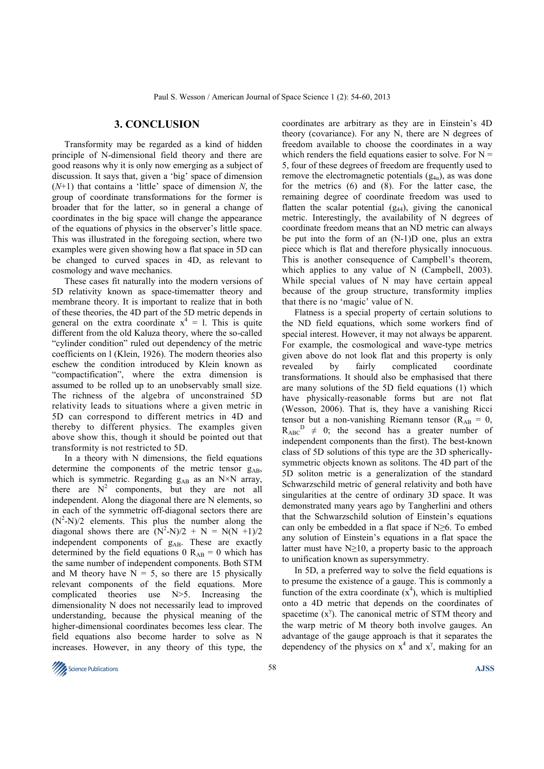## **3. CONCLUSION**

Transformity may be regarded as a kind of hidden principle of N-dimensional field theory and there are good reasons why it is only now emerging as a subject of discussion. It says that, given a 'big' space of dimension (*N*+1) that contains a 'little' space of dimension *N*, the group of coordinate transformations for the former is broader that for the latter, so in general a change of coordinates in the big space will change the appearance of the equations of physics in the observer's little space. This was illustrated in the foregoing section, where two examples were given showing how a flat space in 5D can be changed to curved spaces in 4D, as relevant to cosmology and wave mechanics.

These cases fit naturally into the modern versions of 5D relativity known as space-timematter theory and membrane theory. It is important to realize that in both of these theories, the 4D part of the 5D metric depends in general on the extra coordinate  $x^4 = 1$ . This is quite different from the old Kaluza theory, where the so-called "cylinder condition" ruled out dependency of the metric coefficients on l (Klein, 1926). The modern theories also eschew the condition introduced by Klein known as "compactification", where the extra dimension is assumed to be rolled up to an unobservably small size. The richness of the algebra of unconstrained 5D relativity leads to situations where a given metric in 5D can correspond to different metrics in 4D and thereby to different physics. The examples given above show this, though it should be pointed out that transformity is not restricted to 5D.

In a theory with N dimensions, the field equations determine the components of the metric tensor  $g_{AB}$ , which is symmetric. Regarding  $g_{AB}$  as an N×N array, there are  $N^2$  components, but they are not all independent. Along the diagonal there are N elements, so in each of the symmetric off-diagonal sectors there are  $(N^2-N)/2$  elements. This plus the number along the diagonal shows there are  $(N^2-N)/2 + N = N(N+1)/2$ independent components of g<sub>AB</sub>. These are exactly determined by the field equations 0  $R_{AB} = 0$  which has the same number of independent components. Both STM and M theory have  $N = 5$ , so there are 15 physically relevant components of the field equations. More complicated theories use N>5. Increasing the dimensionality N does not necessarily lead to improved understanding, because the physical meaning of the higher-dimensional coordinates becomes less clear. The field equations also become harder to solve as N increases. However, in any theory of this type, the

coordinates are arbitrary as they are in Einstein's 4D theory (covariance). For any N, there are N degrees of freedom available to choose the coordinates in a way which renders the field equations easier to solve. For  $N =$ 5, four of these degrees of freedom are frequently used to remove the electromagnetic potentials  $(g_{4\alpha})$ , as was done for the metrics (6) and (8). For the latter case, the remaining degree of coordinate freedom was used to flatten the scalar potential  $(g_{44})$ , giving the canonical metric. Interestingly, the availability of N degrees of coordinate freedom means that an ND metric can always be put into the form of an (N-1)D one, plus an extra piece which is flat and therefore physically innocuous. This is another consequence of Campbell's theorem, which applies to any value of N (Campbell, 2003). While special values of N may have certain appeal because of the group structure, transformity implies that there is no 'magic' value of N.

Flatness is a special property of certain solutions to the ND field equations, which some workers find of special interest. However, it may not always be apparent. For example, the cosmological and wave-type metrics given above do not look flat and this property is only revealed by fairly complicated coordinate transformations. It should also be emphasised that there are many solutions of the 5D field equations (1) which have physically-reasonable forms but are not flat (Wesson, 2006). That is, they have a vanishing Ricci tensor but a non-vanishing Riemann tensor ( $R_{AB} = 0$ ,  $R_{ABC}^D \neq 0$ ; the second has a greater number of independent components than the first). The best-known class of 5D solutions of this type are the 3D sphericallysymmetric objects known as solitons. The 4D part of the 5D soliton metric is a generalization of the standard Schwarzschild metric of general relativity and both have singularities at the centre of ordinary 3D space. It was demonstrated many years ago by Tangherlini and others that the Schwarzschild solution of Einstein's equations can only be embedded in a flat space if  $N \geq 6$ . To embed any solution of Einstein's equations in a flat space the latter must have  $N \geq 10$ , a property basic to the approach to unification known as supersymmetry.

In 5D, a preferred way to solve the field equations is to presume the existence of a gauge. This is commonly a function of the extra coordinate  $(x^4)$ , which is multiplied onto a 4D metric that depends on the coordinates of spacetime  $(x^{\gamma})$ . The canonical metric of STM theory and the warp metric of M theory both involve gauges. An advantage of the gauge approach is that it separates the dependency of the physics on  $x^4$  and  $x^7$ , making for an

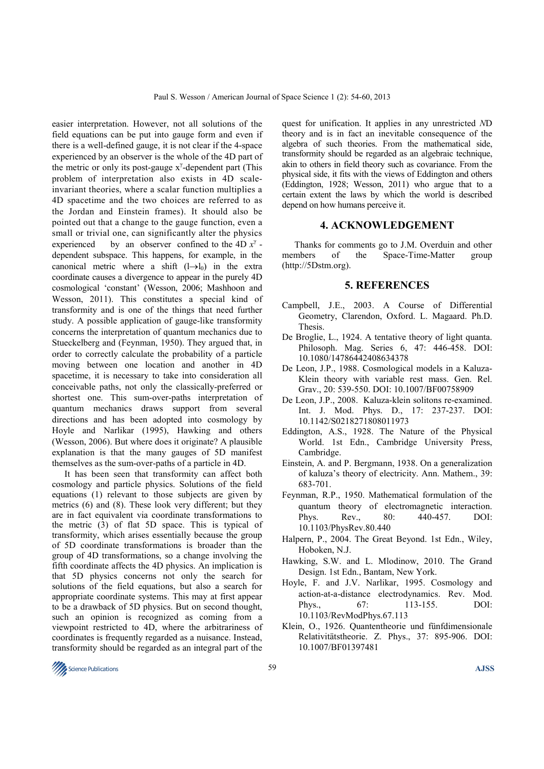easier interpretation. However, not all solutions of the field equations can be put into gauge form and even if there is a well-defined gauge, it is not clear if the 4-space experienced by an observer is the whole of the 4D part of the metric or only its post-gauge  $x^{\gamma}$ -dependent part (This problem of interpretation also exists in 4D scaleinvariant theories, where a scalar function multiplies a 4D spacetime and the two choices are referred to as the Jordan and Einstein frames). It should also be pointed out that a change to the gauge function, even a small or trivial one, can significantly alter the physics experienced by an observer confined to the 4D  $x^{\gamma}$  dependent subspace. This happens, for example, in the canonical metric where a shift  $(1\rightarrow l_0)$  in the extra coordinate causes a divergence to appear in the purely 4D cosmological 'constant' (Wesson, 2006; Mashhoon and Wesson, 2011). This constitutes a special kind of transformity and is one of the things that need further study. A possible application of gauge-like transformity concerns the interpretation of quantum mechanics due to Stueckelberg and (Feynman, 1950). They argued that, in order to correctly calculate the probability of a particle moving between one location and another in 4D spacetime, it is necessary to take into consideration all conceivable paths, not only the classically-preferred or shortest one. This sum-over-paths interpretation of quantum mechanics draws support from several directions and has been adopted into cosmology by Hoyle and Narlikar (1995), Hawking and others (Wesson, 2006). But where does it originate? A plausible explanation is that the many gauges of 5D manifest themselves as the sum-over-paths of a particle in 4D.

It has been seen that transformity can affect both cosmology and particle physics. Solutions of the field equations (1) relevant to those subjects are given by metrics (6) and (8). These look very different; but they are in fact equivalent via coordinate transformations to the metric (3) of flat 5D space. This is typical of transformity, which arises essentially because the group of 5D coordinate transformations is broader than the group of 4D transformations, so a change involving the fifth coordinate affects the 4D physics. An implication is that 5D physics concerns not only the search for solutions of the field equations, but also a search for appropriate coordinate systems. This may at first appear to be a drawback of 5D physics. But on second thought, such an opinion is recognized as coming from a viewpoint restricted to 4D, where the arbitrariness of coordinates is frequently regarded as a nuisance. Instead, transformity should be regarded as an integral part of the

quest for unification. It applies in any unrestricted *N*D theory and is in fact an inevitable consequence of the algebra of such theories. From the mathematical side, transformity should be regarded as an algebraic technique, akin to others in field theory such as covariance. From the physical side, it fits with the views of Eddington and others (Eddington, 1928; Wesson, 2011) who argue that to a certain extent the laws by which the world is described depend on how humans perceive it.

### **4. ACKNOWLEDGEMENT**

Thanks for comments go to J.M. Overduin and other members of the Space-Time-Matter group (http://5Dstm.org).

### **5. REFERENCES**

- Campbell, J.E., 2003. A Course of Differential Geometry, Clarendon, Oxford. L. Magaard. Ph.D. **Thesis**.
- De Broglie, L., 1924. A tentative theory of light quanta. Philosoph. Mag. Series 6, 47: 446-458. DOI: 10.1080/14786442408634378
- De Leon, J.P., 1988. Cosmological models in a Kaluza-Klein theory with variable rest mass. Gen. Rel. Grav., 20: 539-550. DOI: 10.1007/BF00758909
- De Leon, J.P., 2008. Kaluza-klein solitons re-examined. Int. J. Mod. Phys. D., 17: 237-237. DOI: 10.1142/S0218271808011973
- Eddington, A.S., 1928. The Nature of the Physical World. 1st Edn., Cambridge University Press, Cambridge.
- Einstein, A. and P. Bergmann, 1938. On a generalization of kaluza's theory of electricity. Ann. Mathem., 39: 683-701.
- Feynman, R.P., 1950. Mathematical formulation of the quantum theory of electromagnetic interaction. Phys. Rev., 80: 440-457. DOI: 10.1103/PhysRev.80.440
- Halpern, P., 2004. The Great Beyond. 1st Edn., Wiley, Hoboken, N.J.
- Hawking, S.W. and L. Mlodinow, 2010. The Grand Design. 1st Edn., Bantam, New York.
- Hoyle, F. and J.V. Narlikar, 1995. Cosmology and action-at-a-distance electrodynamics. Rev. Mod. Phys., 67: 113-155. DOI: 10.1103/RevModPhys.67.113
- Klein, O., 1926. Quantentheorie und fünfdimensionale Relativitätstheorie. Z. Phys., 37: 895-906. DOI: 10.1007/BF01397481